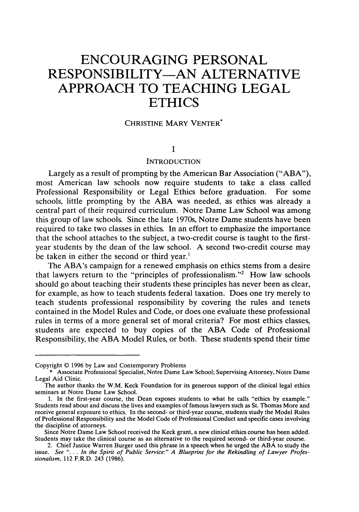# **ENCOURAGING PERSONAL RESPONSIBILITY-AN ALTERNATIVE APPROACH TO TEACHING LEGAL ETHICS**

#### CHRISTINE MARY VENTER\*

## **I**

## INTRODUCTION

Largely as a result of prompting by the American Bar Association ("ABA"), most American law schools now require students to take a class called Professional Responsibility or Legal Ethics before graduation. For some schools, little prompting by the ABA was needed, as ethics was already a central part of their required curriculum. Notre Dame Law School was among this group of law schools. Since the late 1970s, Notre Dame students have been required to take two classes in ethics. In an effort to emphasize the importance that the school attaches to the subject, a two-credit course is taught to the firstyear students by the dean of the law school. A second two-credit course may be taken in either the second or third year.'

The ABA's campaign for a renewed emphasis on ethics stems from a desire that lawyers return to the "principles of professionalism."<sup>2</sup> How law schools should go about teaching their students these principles has never been as clear, for example, as how to teach students federal taxation. Does one try merely to teach students professional responsibility by covering the rules and tenets contained in the Model Rules and Code, or does one evaluate these professional rules in terms of a more general set of moral criteria? For most ethics classes, students are expected to buy copies of the ABA Code of Professional Responsibility, the ABA Model Rules, or both. These students spend their time

Copyright © 1996 by Law and Contemporary Problems

<sup>\*</sup> Associate Professional Specialist, Notre Dame Law School; Supervising Attorney, Notre Dame Legal Aid Clinic.

The author thanks the W.M. Keck Foundation for its generous support of the clinical legal ethics seminars at Notre Dame Law School.

<sup>1.</sup> In the first-year course, the Dean exposes students to what he calls "ethics by example." Students read about and discuss the lives and examples of famous lawyers such as St. Thomas More and receive general exposure to ethics. In the second- or third-year course, students study the Model Rules of Professional Responsibility and the Model Code of Professional Conduct and specific cases involving the discipline of attorneys.

Since Notre Dame Law School received the Keck grant, a new clinical ethics course has been added. Students may take the clinical course as an alternative to the required second- or third-year course. 2. Chief Justice Warren Burger used this phrase in a speech when he urged the **ABA** to study the

issue. *See* "... *In the Spirit of Public Service:" A Blueprint for the Rekindling of Lawyer Professionalism,* 112 F.R.D. 243 (1986).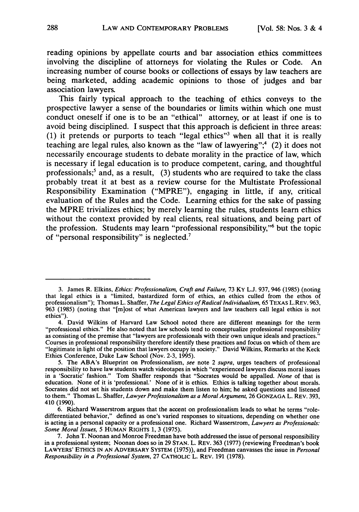reading opinions **by** appellate courts and bar association ethics committees involving the discipline of attorneys for violating the Rules or Code. An increasing number of course books or collections of essays **by** law teachers are being marketed, adding academic opinions to those of judges and bar association lawyers.

This fairly typical approach to the teaching of ethics conveys to the prospective lawyer a sense of the boundaries or limits within which one must conduct oneself if one is to be an "ethical" attorney, or at least if one is to avoid being disciplined. **I** suspect that this approach is deficient in three areas: **(1)** it pretends or purports to teach "legal ethics"3 when all that it is really teaching are legal rules, also known as the "law of lawyering";<sup>4</sup> (2) it does not necessarily encourage students to debate morality in the practice of law, which is necessary if legal education is to produce competent, caring, and thoughtful professionals;<sup>5</sup> and, as a result, (3) students who are required to take the class probably treat it at best as a review course for the Multistate Professional Responsibility Examination ("MPRE"), engaging in little, if any, critical evaluation of the Rules and the Code. Learning ethics for the sake of passing the MPRE trivializes ethics; **by** merely learning the rules, students learn ethics without the context provided **by** real clients, real situations, and being part of the profession. Students may learn "professional responsibility,"6 but the topic of "personal responsibility" is neglected.7

<sup>3.</sup> James R. Elkins, *Ethics: Professionalism, Craft and Failure,* 73 KY **L.J.** 937, 946 (1985) (noting that legal ethics is a "limited, bastardized form of ethics, an ethics culled from the ethos of professionalism"); Thomas L. Shaffer, *The Legal Ethics of Radical Individualism,* 65 TEXAS L.REV. 963, 963 (1985) (noting that "[m]ost of what American lawyers and law teachers call legal ethics is not ethics").<br>4. David Wilkins of Harvard Law School noted there are different meanings for the term

<sup>&</sup>quot;professional ethics." He also noted that law schools tend to conceptualize professional responsibility as consisting of the premise that "lawyers are professionals with their own unique ideals and practices."<br>Courses in professional responsibility therefore identify these practices and focus on which of them are "legitimate in light of the position that lawyers occupy in society." David Wilkins, Remarks at the Keck Ethics Conference, Duke Law School (Nov. 2-3, 1995).

<sup>5.</sup> The ABA's Blueprint on Professionalism, *see* note 2 *supra,* urges teachers of professional responsibility to have law students watch videotapes in which "experienced lawyers discuss moral issues in a 'Socratic' fashion." Tom Shaffer responds that "Socrates would be appalled. *None* of that is education. None of it is 'professional.' None of it is ethics. Ethics is talking together about morals. Socrates did not set his students down and make them listen to him; he asked questions and listened to them." Thomas L. Shaffer, *Lawyer Professionalism as a Moral Argument,* 26 **GONZAGA** L. REV. 393, 410 (1990).

<sup>6.</sup> Richard Wasserstrom argues that the accent on professionalism leads to what he terms "roledifferentiated behavior," defined as one's varied responses to situations, depending on whether one is acting in a personal capacity or a professional one. Richard Wasserstrom, *Lawyers as Professionals: Some Moral Issues,* 5 **HUMAN** RIGHTS **1,** 3 (1975).

<sup>7.</sup> John T. Noonan and Monroe Freedman have both addressed the issue of personal responsibility in a professional system; Noonan does so in 29 **STAN.** L. REV. 363 (1977) (reviewing Freedman's book LAWYERS' ETHICS **IN AN** ADVERSARY SYSTEM (1975)), and Freedman canvasses the issue in *Personal Responsibility in a Professional System,* 27 CATHOLIC L. REV. **191 (1978).**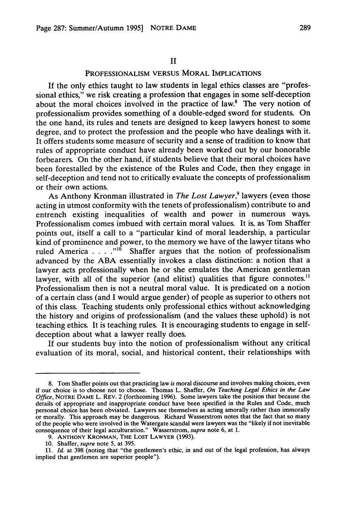#### **II**

## PROFESSIONALISM **VERSUS** MORAL **IMPLICATIONS**

**If** the only ethics taught to law students in legal ethics classes are "professional ethics," we risk creating a profession that engages in some self-deception about the moral choices involved in the practice of law.8 The very notion of professionalism provides something of a double-edged sword for students. On the one hand, its rules and tenets are designed to keep lawyers honest to some degree, and to protect the profession and the people who have dealings with it. It offers students some measure of security and a sense of tradition to know that rules of appropriate conduct have already been worked out **by** our honorable forbearers. On the other hand, if students believe that their moral choices have been forestalled **by** the existence of the Rules and Code, then they engage in self-deception and tend not to critically evaluate the concepts of professionalism or their own actions.

As Anthony Kronman illustrated in *The Lost Lawyer*,<sup>9</sup> lawyers (even those acting in utmost conformity with the tenets of professionalism) contribute to and entrench existing inequalities of wealth and power in numerous ways. Professionalism comes imbued with certain moral values. It is, as Tom Shaffer points out, itself a call to a "particular kind of moral leadership, a particular kind of prominence and power, to the memory we have of the lawyer titans who ruled America . . . .<sup>"10</sup> Shaffer argues that the notion of professionalism advanced **by** the **ABA** essentially invokes a class distinction: a notion that a lawyer acts professionally when he or she emulates the American gentleman lawyer, with all of the superior (and elitist) qualities that figure connotes.<sup>11</sup> Professionalism then is not a neutral moral value. It is predicated on a notion of a certain class (and I would argue gender) of people as superior to others not of this class. Teaching students only professional ethics without acknowledging the history and origins of professionalism (and the values these uphold) is not teaching ethics. It is teaching rules. It is encouraging students to engage in selfdeception about what a lawyer really does.

**If** our students buy into the notion of professionalism without any critical evaluation of its moral, social, and historical content, their relationships with

**<sup>8.</sup>** Tom Shaffer points out that practicing law *is* moral discourse and involves making choices, even if our choice is to choose not to choose. Thomas L. Shaffer, *On Teaching Legal Ethics in the Law Office,* NOTRE DAME L. REV. 2 (forthcoming 1996). Some lawyers take the position that because the details of appropriate and inappropriate conduct have been specified in the Rules and Code, much personal choice has been obviated. Lawyers see themselves as acting amorally rather than immorally or morally. This approach may be dangerous. Richard Wasserstrom notes that the fact that so many of the people who were involved in the Watergate scandal were lawyers was the "likely if not inevitable consequence of their legal acculturation." Wasserstrom, *supra* note **6,** at 1.

**<sup>9.</sup> ANTHONY** KRONMAN, THE LOST LAWYER (1993).

<sup>10.</sup> Shaffer, *supra* note 5, at 395.

<sup>11.</sup> *Id.* at 398 (noting that "the gentlemen's ethic, in and out of the legal profession, has always implied that gentlemen are superior people").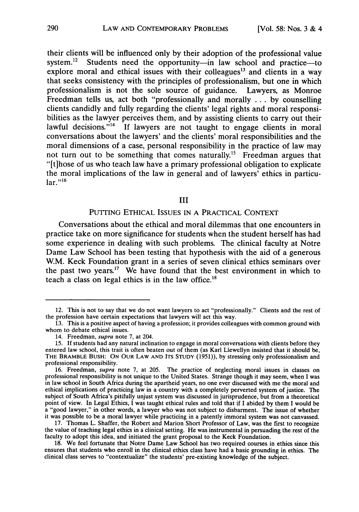their clients will be influenced only **by** their adoption of the professional value system.<sup>12</sup> Students need the opportunity—in law school and practice—to explore moral and ethical issues with their colleagues<sup>13</sup> and clients in a way that seeks consistency with the principles of professionalism, but one in which professionalism is not the sole source of guidance. Lawyers, as Monroe Freedman tells us, act both "professionally and morally **... by** counselling clients candidly and fully regarding the clients' legal rights and moral responsibilities as the lawyer perceives them, and **by** assisting clients to carry out their lawful decisions."<sup>14</sup> If lawyers are not taught to engage clients in moral conversations about the lawyers' and the clients' moral responsibilities and the moral dimensions of a case, personal responsibility in the practice of law may not turn out to be something that comes naturally.<sup>15</sup> Freedman argues that "[t]hose of us who teach law have a primary professional obligation to explicate the moral implications of the law in general and of lawyers' ethics in particu- $\ln r$ <sup>,,16</sup>

## III

# PUTTING ETHICAL ISSUES IN **A** PRACTICAL **CONTEXT**

Conversations about the ethical and moral dilemmas that one encounters in practice take on more significance for students when the student herself has had some experience in dealing with such problems. The clinical faculty at Notre Dame Law School has been testing that hypothesis with the aid of a generous W.M. Keck Foundation grant in a series of seven clinical ethics seminars over the past two years.'7 We have found that the best environment in which to teach a class on legal ethics is in the law office.<sup>18</sup>

<sup>12.</sup> This is not to say that we do not want lawyers to act "professionally." Clients and the rest of the profession have certain expectations that lawyers will act this way.

<sup>13.</sup> This is a positive aspect of having a profession; it provides colleagues with common ground with whom to debate ethical issues.

<sup>14.</sup> Freedman, supra note 7, at 204.

<sup>15.</sup> **If** students had any natural inclination to engage in moral conversations with clients before they entered law school, this trait is often beaten out of them (as Karl Llewellyn insisted that it should be, THE BRAMBLE **BUSH:** ON OUR **LAW AND ITS STUDY** (1951)), by stressing only professionalism and professional responsibility.<br>16. Freedman, *supra* note 7, at 205. The practice of neglecting moral issues in classes on

professional responsibility is not unique to the United States. Strange though it may seem, when I was<br>in law school in South Africa during the apartheid years, no one ever discussed with me the moral and ethical implications of practicing law in a country with a completely perverted system of justice. The subject of South Africa's pitifully unjust system was discussed in jurisprudence, but from a theoretical point of view. In Legal Ethics, I was taught ethical rules and told that if I abided by them I would be point of view. In Legal Ethics, I was taught entired that if I all the abided by them I would be a "good lawyer," in other words, a lawyer who was not subject to disbarment. The issue of whether it was possible to be a moral lawyer while practicing in a patently immoral system was not canvassed.

**<sup>17.</sup>** Thomas L. Shaffer, the Robert and Marion Short Professor of Law, was the first to recognize the value of teaching legal ethics in a clinical setting. He was instrumental in persuading the rest of the faculty to adopt this idea, and initiated the grant proposal to the Keck Foundation.

**<sup>18.</sup>** We feel fortunate that Notre Dame Law School has two required courses in ethics since this ensures that students who enroll in the clinical ethics class have had a basic grounding in ethics. The clinical class serves to "contextualize" the students' pre-existing knowledge of the subject.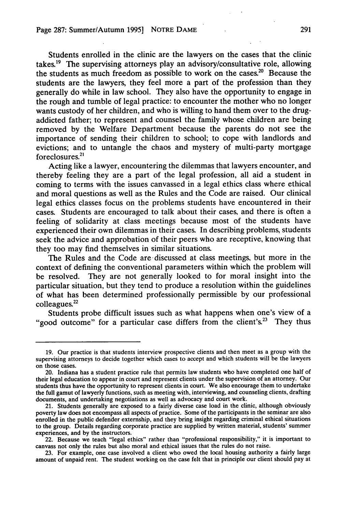Students enrolled in the clinic are the lawyers on the cases that the clinic takes.<sup>19</sup> The supervising attorneys play an advisory/consultative role, allowing the students as much freedom as possible to work on the cases.<sup>20</sup> Because the students are the lawyers, they feel more a part of the profession than they generally do while in law school. They also have the opportunity to engage in the rough and tumble of legal practice: to encounter the mother who no longer wants custody of her children, and who is willing to hand them over to the drugaddicted father; to represent and counsel the family whose children are being removed **by** the Welfare Department because the parents do not see the importance of sending their children to school; to cope with landlords and evictions; and to untangle the chaos and mystery of multi-party mortgage foreclosures.2'

Acting like a lawyer, encountering the dilemmas that lawyers encounter, and thereby feeling they are a part of the legal profession, all aid a student in coming to terms with the issues canvassed in a legal ethics class where ethical and moral questions as well as the Rules and the Code are raised. Our clinical legal ethics classes focus on the problems students have encountered in their cases. Students are encouraged to talk about their cases, and there is often a feeling of solidarity at class meetings because most of the students have experienced their own dilemmas in their cases. In describing problems, students seek the advice and approbation of their peers who are receptive, knowing that they too may find themselves in similar situations.

The Rules and the Code are discussed at class meetings, but more in the context of defining the conventional parameters within which the problem will be resolved. They are not generally looked to for moral insight into the particular situation, but they tend to produce a resolution within the guidelines of what has been determined professionally permissible **by** our professional colleagues.<sup>22</sup>

Students probe difficult issues such as what happens when one's view of a "good outcome" for a particular case differs from the client's.<sup>23</sup> They thus

**<sup>19.</sup>** Our practice is that students interview prospective clients and then meet as a group with the supervising attorneys to decide together which cases to accept and which students will be the lawyers on those cases.

<sup>20.</sup> Indiana has a student practice rule that permits law students who have completed one half of their legal education to appear in court and represent clients under the supervision of an attorney. Our students thus have the opportunity to represent clients in court. We also encourage them to undertake the full gamut of lawyerly functions, such as meeting with, interviewing, and counseling clients, drafting documents, and undertaking negotiations as well as advocacy and court work.

<sup>21.</sup> Students generally are exposed to a fairly diverse case load in the clinic, although obviously poverty law does not encompass all aspects of practice. Some **of** the participants in the seminar are also enrolled in the public defender externship, and they bring insight regarding criminal ethical situations to the group. Details regarding corporate practice are supplied **by** written material, students' summer experiences, and **by** the instructors.

<sup>22.</sup> Because we teach "legal ethics" rather than "professional responsibility," it is important to canvass not only the rules but also moral and ethical issues that the rules do not raise.

**<sup>23.</sup>** For example, one case involved a client who owed the local housing authority a fairly large amount of unpaid rent. The student working on the case felt that in principle our client should pay at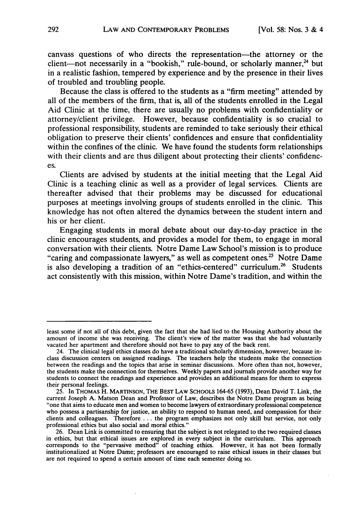canvass questions of who directs the representation-the attorney or the client-not necessarily in a "bookish," rule-bound, or scholarly manner,<sup>24</sup> but in a realistic fashion, tempered **by** experience and **by** the presence in their lives of troubled and troubling people.

Because the class is offered to the students as a "firm meeting" attended **by** all of the members of the firm, that is, all of the students enrolled in the Legal Aid Clinic at the time, there are usually no problems with confidentiality or attorney/client privilege. However, because confidentiality is so crucial to professional responsibility, students are reminded to take seriously their ethical obligation to preserve their clients' confidences and ensure that confidentiality within the confines of the clinic. We have found the students form relationships with their clients and are thus diligent about protecting their clients' confidences.

Clients are advised **by** students at the initial meeting that the Legal Aid Clinic is a teaching clinic as well as a provider of legal services. Clients are thereafter advised that their problems may be discussed for educational purposes at meetings involving groups of students enrolled in the clinic. This knowledge has not often altered the dynamics between the student intern and his or her client.

Engaging students in moral debate about our day-to-day practice in the clinic encourages students, and provides a model for them, to engage in moral conversation with their clients. Notre Dame Law School's mission is to produce "caring and compassionate lawyers," as well as competent ones.<sup>25</sup> Notre Dame is also developing a tradition of an "ethics-centered" curriculum.<sup>26</sup> Students act consistently with this mission, within Notre Dame's tradition, and within the

least some if not all of this debt, given the fact that she had lied to the Housing Authority about the amount of income she was receiving. The client's view of the matter was that she had voluntarily vacated her apartment and therefore should not have to pay any of the back rent.

<sup>24.</sup> The clinical legal ethics classes do have a traditional scholarly dimension, however, because inclass discussion centers on assigned readings. The teachers help the students make the connection between the readings and the topics that arise in seminar discussions. More often than not, however, the students make the connection for themselves. Weekly papers and journals provide another way for students to connect the readings and experience and provides an additional means for them to express their personal feelings.

<sup>25.</sup> In THOMAS H. MARTINSON, THE BEST LAW SCHOOLS 164-65 (1993), Dean David T. Link, the current Joseph A. Matson Dean and Professor of Law, describes the Notre Dame program as being "one that aims to educate men and women to become lawyers of extraordinary professional competence who possess a partisanship for justice, an ability to respond to human need, and compassion for their clients and colleagues. Therefore ... the program emphasizes not only skill but service, not only professional ethics but also social and moral ethics."

<sup>26.</sup> Dean Link is committed to ensuring that the subject is not relegated to the two required classes in ethics, but that ethical issues are explored in every subject in the curriculum. This approach corresponds to the "pervasive method" of teaching ethics. However, it has not been formally institutionalized at Notre Dame; professors are encouraged to raise ethical issues in their classes but are not required to spend a certain amount of time each semester doing so.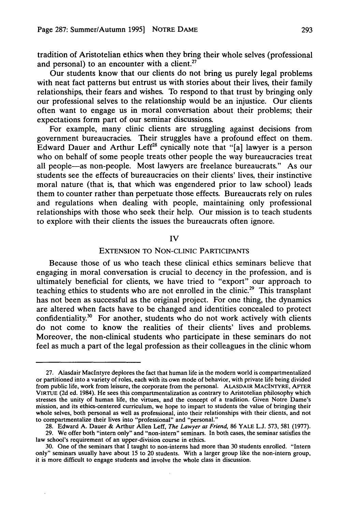tradition of Aristotelian ethics when they bring their whole selves (professional and personal) to an encounter with a client.<sup>27</sup>

Our students know that our clients do not bring us purely legal problems with neat fact patterns but entrust us with stories about their lives, their family relationships, their fears and wishes. To respond to that trust **by** bringing only our professional selves to the relationship would be an injustice. Our clients often want to engage us in moral conversation about their problems; their expectations form part of our seminar discussions.

For example, many clinic clients are struggling against decisions from government bureaucracies. Their struggles have a profound effect on them. Edward Dauer and Arthur Leff<sup>28</sup> cynically note that "[a] lawyer is a person who on behalf of some people treats other people the way bureaucracies treat all people-as non-people. Most lawyers are freelance bureaucrats." As our students see the effects of bureaucracies on their clients' lives, their instinctive moral nature (that is, that which was engendered prior to law school) leads them to counter rather than perpetuate those effects. Bureaucrats rely on rules and regulations when dealing with people, maintaining only professional relationships with those who seek their help. Our mission is to teach students to explore with their clients the issues the bureaucrats often ignore.

#### **IV**

## **EXTENSION** TO **NON-CLINIC** PARTICIPANTS

Because those of us who teach these clinical ethics seminars believe that engaging in moral conversation is crucial to decency in the profession, and is ultimately beneficial for clients, we have tried to "export" our approach to teaching ethics to students who are not enrolled in the clinic.<sup>29</sup> This transplant has not been as successful as the original project. For one thing, the dynamics are altered when facts have to be changed and identities concealed to protect confidentiality.<sup>30</sup> For another, students who do not work actively with clients do not come to know the realities of their clients' lives and problems. Moreover, the non-clinical students who participate in these seminars do not feel as much a part of the legal profession as their colleagues in the clinic whom

**<sup>27.</sup>** Alasdair Maclntyre deplores the fact that human life in the modern world is compartmentalized or partitioned into a variety of roles, each with its own mode of behavior, with private life being divided from public life, work from leisure, the corporate from the personal. ALASDAIR MACINTYRE, AFTER VIRTUE **(2d** ed. 1984). He sees this compartmentalization as contrary to Aristotelian philosophy which stresses the unity of human life, the virtues, and the concept of a tradition. Given Notre Dame's mission, and its ethics-centered curriculum, we hope to impart to students the value of bringing their whole selves, both personal as well as professional, into their relationships with their clients, and not to compartmentalize their lives into "professional" and "personal."

**<sup>28.</sup>** Edward **A.** Dauer **&** Arthur Allen Leff, *The Lawyer as Friend,* **86** YALE **L.J. 573, 581 (1977).**

**<sup>29.</sup>** We offer both "intern only" and "non-intern" seminars. In both cases, the seminar satisfies the law school's requirement of an upper-division course in ethics.

**<sup>30.</sup>** One of the seminars that I taught to non-interns had more than **30** students enrolled. "Intern only" seminars usually have about **15** to 20 students. With a larger group like the non-intern group, it is more difficult to engage students and involve the whole class in discussion.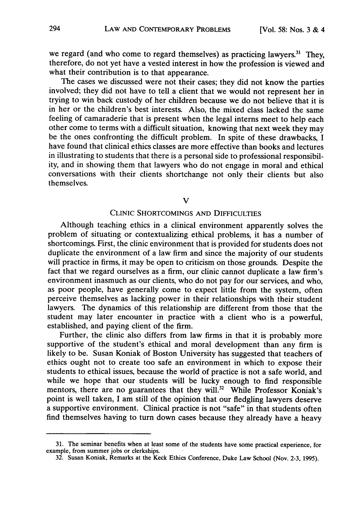we regard (and who come to regard themselves) as practicing lawyers. $31$  They, therefore, do not yet have a vested interest in how the profession is viewed and what their contribution is to that appearance.

The cases we discussed were not their cases; they did not know the parties involved; they did not have to tell a client that we would not represent her in trying to win back custody of her children because we do not believe that it is in her or the children's best interests. Also, the mixed class lacked the same feeling of camaraderie that is present when the legal interns meet to help each other come to terms with a difficult situation, knowing that next week they may be the ones confronting the difficult problem. In spite of these drawbacks, I have found that clinical ethics classes are more effective than books and lectures in illustrating to students that there is a personal side to professional responsibility, and in showing them that lawyers who do not engage in moral and ethical conversations with their clients shortchange not only their clients but also themselves.

V

#### CLINIC SHORTCOMINGS AND DIFFICULTIES

Although teaching ethics in a clinical environment apparently solves the problem of situating or contextualizing ethical problems, it has a number of shortcomings. First, the clinic environment that is provided for students does not duplicate the environment of a law firm and since the majority of our students will practice in firms, it may be open to criticism on those grounds. Despite the fact that we regard ourselves as a firm, our clinic cannot duplicate a law firm's environment inasmuch as our clients, who do not pay for our services, and who, as poor people, have generally come to expect little from the system, often perceive themselves as lacking power in their relationships with their student lawyers. The dynamics of this relationship are different from those that the student may later encounter in practice with a client who is a powerful, established, and paying client of the firm.

Further, the clinic also differs from law firms in that it is probably more supportive of the student's ethical and moral development than any firm is likely to be. Susan Koniak of Boston University has suggested that teachers of ethics ought not to create too safe an environment in which to expose their students to ethical issues, because the world of practice is not a safe world, and while we hope that our students will be lucky enough to find responsible mentors, there are no guarantees that they will.<sup>32</sup> While Professor Koniak's point is well taken, I am still of the opinion that our fledgling lawyers deserve a supportive environment. Clinical practice is not "safe" in that students often find themselves having to turn down cases because they already have a heavy

<sup>31.</sup> The seminar benefits when at least some of the students have some practical experience, for example, from summer jobs or clerkships.

<sup>32.</sup> Susan Koniak, Remarks at the Keck Ethics Conference, Duke Law School (Nov. 2-3, 1995).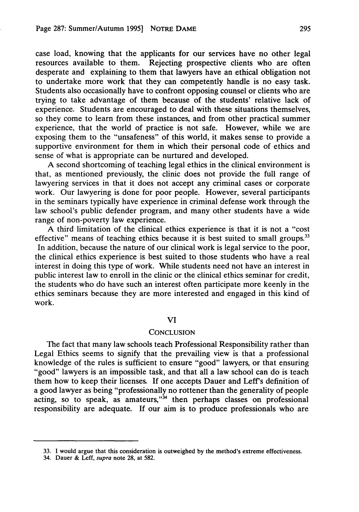case load, knowing that the applicants for our services have no other legal resources available to them. Rejecting prospective clients who are often desperate and explaining to them that lawyers have an ethical obligation not to undertake more work that they can competently handle is no easy task. Students also occasionally have to confront opposing counsel or clients who are trying to take advantage of them because of the students' relative lack of experience. Students are encouraged to deal with these situations themselves, so they come to learn from these instances, and from other practical summer experience, that the world of practice is not safe. However, while we are exposing them to the "unsafeness" of this world, it makes sense to provide a supportive environment for them in which their personal code of ethics and sense of what is appropriate can be nurtured and developed.

A second shortcoming of teaching legal ethics in the clinical environment is that, as mentioned previously, the clinic does not provide the full range of lawyering services in that it does not accept any criminal cases or corporate work. Our lawyering is done for poor people. However, several participants in the seminars typically have experience in criminal defense work through the law school's public defender program, and many other students have a wide range of non-poverty law experience.

A third limitation of the clinical ethics experience is that it is not a "cost effective" means of teaching ethics because it is best suited to small groups.<sup>33</sup> In addition, because the nature of our clinical work is legal service to the poor, the clinical ethics experience is best suited to those students who have a real interest in doing this type of work. While students need not have an interest in public interest law to enroll in the clinic or the clinical ethics seminar for credit, the students who do have such an interest often participate more keenly in the ethics seminars because they are more interested and engaged in this kind of work.

#### VI

### **CONCLUSION**

The fact that many law schools teach Professional Responsibility rather than Legal Ethics seems to signify that the prevailing view is that a professional knowledge of the rules is sufficient to ensure "good" lawyers, or that ensuring "good" lawyers is an impossible task, and that all a law school can do is teach them how to keep their licenses. If one accepts Dauer and Leff's definition of a good lawyer as being "professionally no rottener than the generality of people acting, so to speak, as amateurs,  $34$  then perhaps classes on professional responsibility are adequate. If our aim is to produce professionals who are

<sup>33.</sup> I would argue that this consideration is outweighed **by** the method's extreme effectiveness.

<sup>34.</sup> Dauer & Left, supra note 28, at 582.